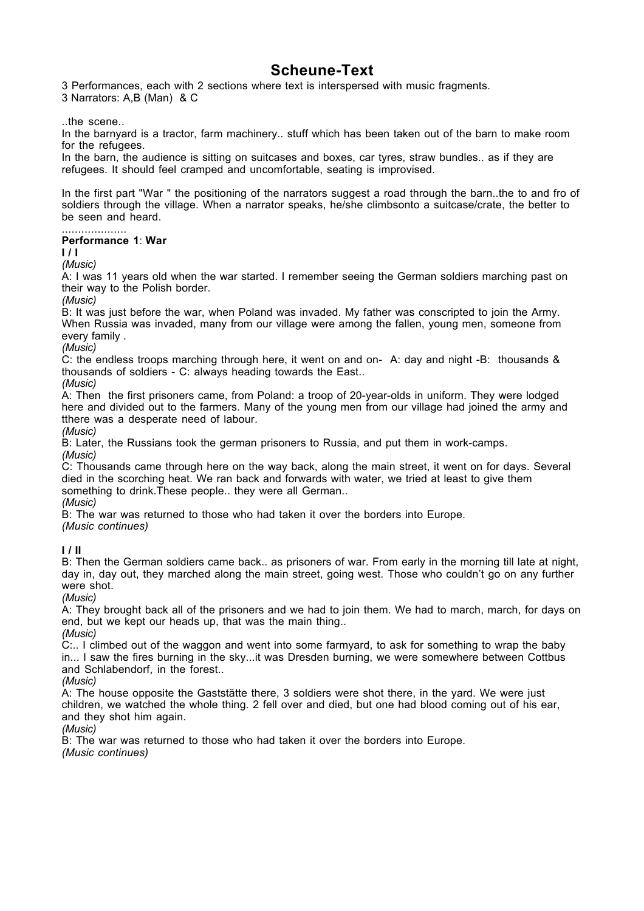## **Scheune-Text**

3 Performances, each with 2 sections where text is interspersed with music fragments.

3 Narrators: A,B (Man) & C

..the scene..

In the barnyard is a tractor, farm machinery.. stuff which has been taken out of the barn to make room for the refugees.

In the barn, the audience is sitting on suitcases and boxes, car tyres, straw bundles.. as if they are refugees. It should feel cramped and uncomfortable, seating is improvised.

In the first part "War " the positioning of the narrators suggest a road through the barn..the to and fro of soldiers through the village. When a narrator speaks, he/she climbsonto a suitcase/crate, the better to be seen and heard.

#### .................... **Performance 1**: **War**

#### **I / I**

*(Music)*

A: I was 11 years old when the war started. I remember seeing the German soldiers marching past on their way to the Polish border.

*(Music)*

B: It was just before the war, when Poland was invaded. My father was conscripted to join the Army. When Russia was invaded, many from our village were among the fallen, young men, someone from every family *.*

*(Music)*

C: the endless troops marching through here, it went on and on- A: day and night -B: thousands & thousands of soldiers - C: always heading towards the East..

*(Music)*

A: Then the first prisoners came, from Poland: a troop of 20-year-olds in uniform. They were lodged here and divided out to the farmers. Many of the young men from our village had joined the army and tthere was a desperate need of labour.

*(Music)*

B: Later, the Russians took the german prisoners to Russia, and put them in work-camps. *(Music)*

C: Thousands came through here on the way back, along the main street, it went on for days. Several died in the scorching heat. We ran back and forwards with water, we tried at least to give them something to drink. These people.. they were all German..

*(Music)*

B: The war was returned to those who had taken it over the borders into Europe.

*(Music continues)*

**I / II**

B: Then the German soldiers came back.. as prisoners of war. From early in the morning till late at night, day in, day out, they marched along the main street, going west. Those who couldn't go on any further were shot.

*(Music)*

A: They brought back all of the prisoners and we had to join them. We had to march, march, for days on end, but we kept our heads up, that was the main thing.. *(Music)*

C:.. I climbed out of the waggon and went into some farmyard, to ask for something to wrap the baby in... I saw the fires burning in the sky...it was Dresden burning, we were somewhere between Cottbus and Schlabendorf, in the forest..

*(Music)*

A: The house opposite the Gaststätte there, 3 soldiers were shot there, in the yard. We were just children, we watched the whole thing. 2 fell over and died, but one had blood coming out of his ear, and they shot him again.

*(Music)*

B: The war was returned to those who had taken it over the borders into Europe. *(Music continues)*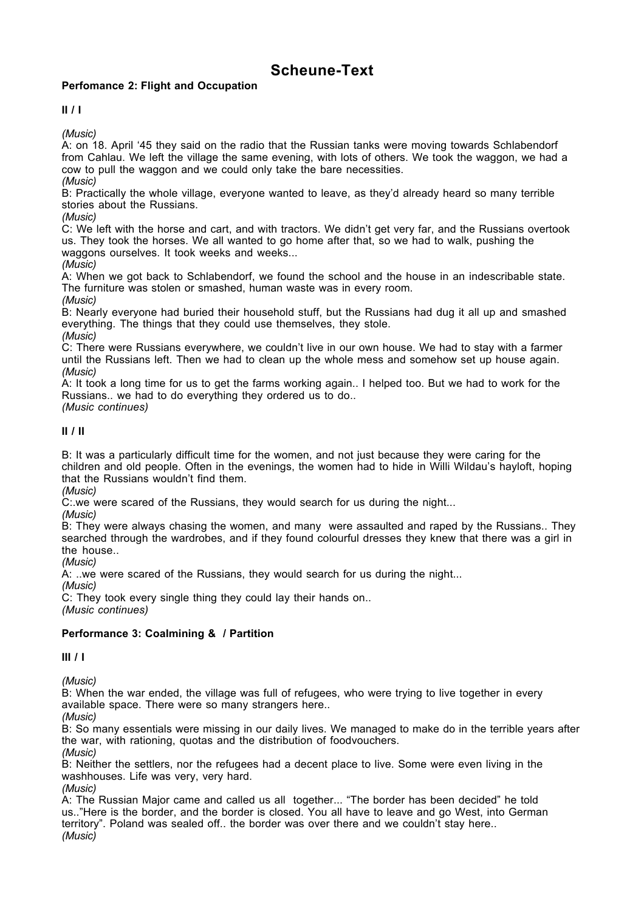# **Scheune-Text**

### **Perfomance 2: Flight and Occupation**

**II / I**

*(Music)*

A: on 18. April '45 they said on the radio that the Russian tanks were moving towards Schlabendorf from Cahlau. We left the village the same evening, with lots of others. We took the waggon, we had a cow to pull the waggon and we could only take the bare necessities.

*(Music)*

B: Practically the whole village, everyone wanted to leave, as they'd already heard so many terrible stories about the Russians.

*(Music)*

C: We left with the horse and cart, and with tractors. We didn't get very far, and the Russians overtook us. They took the horses. We all wanted to go home after that, so we had to walk, pushing the waggons ourselves. It took weeks and weeks...

*(Music)*

A: When we got back to Schlabendorf, we found the school and the house in an indescribable state. The furniture was stolen or smashed, human waste was in every room.

*(Music)*

B: Nearly everyone had buried their household stuff, but the Russians had dug it all up and smashed everything. The things that they could use themselves, they stole.

*(Music)*

C: There were Russians everywhere, we couldn't live in our own house. We had to stay with a farmer until the Russians left. Then we had to clean up the whole mess and somehow set up house again. *(Music)*

A: It took a long time for us to get the farms working again.. I helped too. But we had to work for the Russians.. we had to do everything they ordered us to do..

*(Music continues)*

**II / II**

B: It was a particularly difficult time for the women, and not just because they were caring for the children and old people. Often in the evenings, the women had to hide in Willi Wildau's hayloft, hoping that the Russians wouldn't find them.

*(Music)*

C: we were scared of the Russians, they would search for us during the night...

*(Music)*

B: They were always chasing the women, and many were assaulted and raped by the Russians.. They searched through the wardrobes, and if they found colourful dresses they knew that there was a girl in the house..

*(Music)*

A: ..we were scared of the Russians, they would search for us during the night...

*(Music)*

C: They took every single thing they could lay their hands on..

*(Music continues)*

### **Performance 3: Coalmining & / Partition**

**III / I**

*(Music)*

B: When the war ended, the village was full of refugees, who were trying to live together in every available space. There were so many strangers here..

*(Music)*

B: So many essentials were missing in our daily lives. We managed to make do in the terrible years after the war, with rationing, quotas and the distribution of foodvouchers. *(Music)*

B: Neither the settlers, nor the refugees had a decent place to live. Some were even living in the washhouses. Life was very, very hard.

*(Music)* A: The Russian Major came and called us all together... "The border has been decided" he told us.."Here is the border, and the border is closed. You all have to leave and go West, into German territory". Poland was sealed off.. the border was over there and we couldn't stay here.. *(Music)*